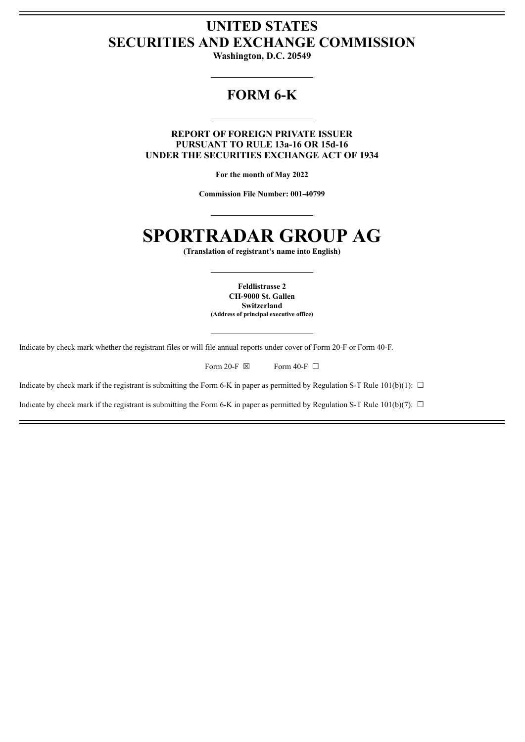# **UNITED STATES SECURITIES AND EXCHANGE COMMISSION**

**Washington, D.C. 20549**

# **FORM 6-K**

**REPORT OF FOREIGN PRIVATE ISSUER PURSUANT TO RULE 13a-16 OR 15d-16 UNDER THE SECURITIES EXCHANGE ACT OF 1934**

**For the month of May 2022**

**Commission File Number: 001-40799**

# **SPORTRADAR GROUP AG**

**(Translation of registrant's name into English)**

**Feldlistrasse 2 CH-9000 St. Gallen Switzerland (Address of principal executive office)**

Indicate by check mark whether the registrant files or will file annual reports under cover of Form 20-F or Form 40-F.

| Form 20-F $\boxtimes$ |  | Form 40-F $\Box$ |  |
|-----------------------|--|------------------|--|
|                       |  |                  |  |

Indicate by check mark if the registrant is submitting the Form 6-K in paper as permitted by Regulation S-T Rule 101(b)(1):  $\Box$ 

Indicate by check mark if the registrant is submitting the Form 6-K in paper as permitted by Regulation S-T Rule 101(b)(7):  $\Box$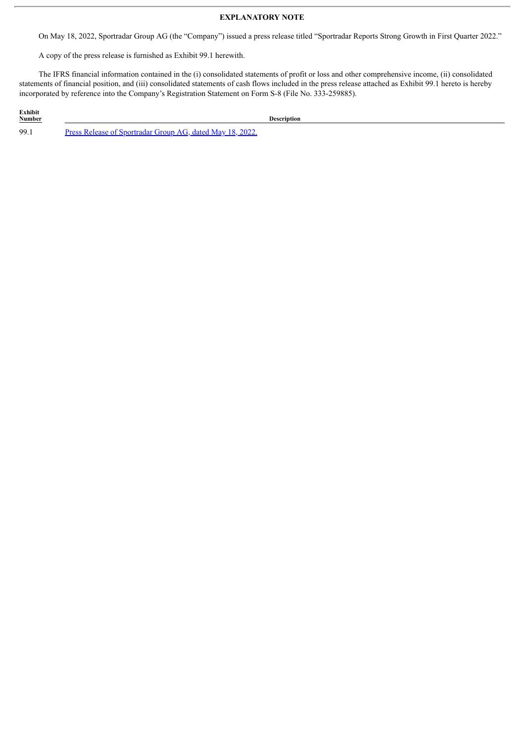### **EXPLANATORY NOTE**

On May 18, 2022, Sportradar Group AG (the "Company") issued a press release titled "Sportradar Reports Strong Growth in First Quarter 2022."

A copy of the press release is furnished as Exhibit 99.1 herewith.

The IFRS financial information contained in the (i) consolidated statements of profit or loss and other comprehensive income, (ii) consolidated statements of financial position, and (iii) consolidated statements of cash flows included in the press release attached as Exhibit 99.1 hereto is hereby incorporated by reference into the Company's Registration Statement on Form S-8 (File No. 333-259885).

**Exhibit Description** 99.1 Press Release of [Sportradar](#page-3-0) Group AG, dated May 18, 2022.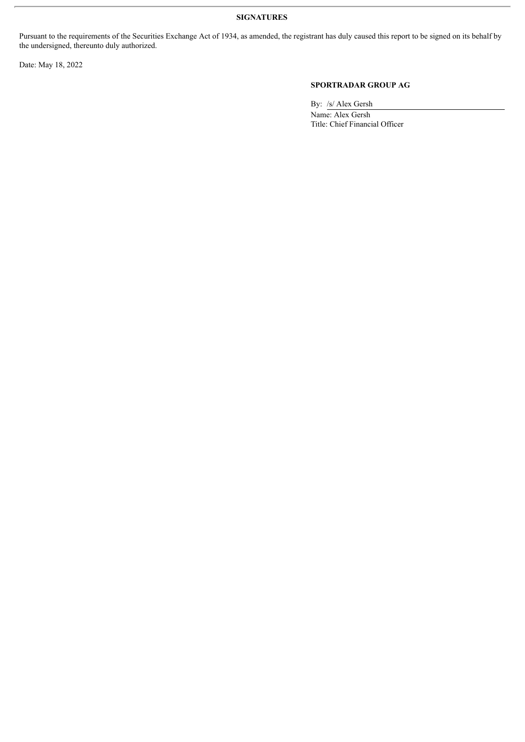#### **SIGNATURES**

Pursuant to the requirements of the Securities Exchange Act of 1934, as amended, the registrant has duly caused this report to be signed on its behalf by the undersigned, thereunto duly authorized.

Date: May 18, 2022

## **SPORTRADAR GROUP AG**

By: /s/ Alex Gersh

Name: Alex Gersh Title: Chief Financial Officer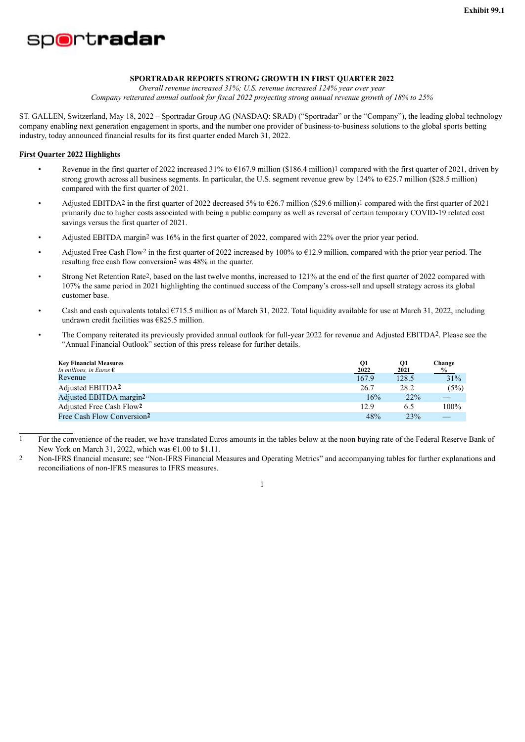<span id="page-3-0"></span>

#### **SPORTRADAR REPORTS STRONG GROWTH IN FIRST QUARTER 2022**

*Overall revenue increased 31%; U.S. revenue increased 124% year over year Company reiterated annual outlook for fiscal 2022 projecting strong annual revenue growth of 18% to 25%*

ST. GALLEN, Switzerland, May 18, 2022 – Sportradar Group AG (NASDAQ: SRAD) ("Sportradar" or the "Company"), the leading global technology company enabling next generation engagement in sports, and the number one provider of business-to-business solutions to the global sports betting industry, today announced financial results for its first quarter ended March 31, 2022.

#### **First Quarter 2022 Highlights**

- Revenue in the first quarter of 2022 increased 31% to €167.9 million (\$186.4 million)1 compared with the first quarter of 2021, driven by strong growth across all business segments. In particular, the U.S. segment revenue grew by 124% to €25.7 million (\$28.5 million) compared with the first quarter of 2021.
- Adjusted EBITDA<sup>2</sup> in the first quarter of 2022 decreased 5% to  $\epsilon$ 26.7 million (\$29.6 million)<sup>1</sup> compared with the first quarter of 2021 primarily due to higher costs associated with being a public company as well as reversal of certain temporary COVID-19 related cost savings versus the first quarter of 2021.
- Adjusted EBITDA margin2 was 16% in the first quarter of 2022, compared with 22% over the prior year period.
- Adjusted Free Cash Flow2 in the first quarter of 2022 increased by 100% to  $E12.9$  million, compared with the prior year period. The resulting free cash flow conversion2 was 48% in the quarter.
- Strong Net Retention Rate2, based on the last twelve months, increased to 121% at the end of the first quarter of 2022 compared with 107% the same period in 2021 highlighting the continued success of the Company's cross-sell and upsell strategy across its global customer base.
- Cash and cash equivalents totaled  $\epsilon$ 715.5 million as of March 31, 2022. Total liquidity available for use at March 31, 2022, including undrawn credit facilities was €825.5 million.
- The Company reiterated its previously provided annual outlook for full-year 2022 for revenue and Adjusted EBITDA2. Please see the "Annual Financial Outlook" section of this press release for further details.

| <b>Key Financial Measures</b><br>In millions, in Euros $\epsilon$ | Q1<br>2022 | Q1<br>2021 | Change<br>$\%$ |
|-------------------------------------------------------------------|------------|------------|----------------|
| Revenue                                                           | 167.9      | 128.5      | 31%            |
| Adjusted EBITDA <sup>2</sup>                                      | 26.7       | 28.2       | (5%)           |
| Adjusted EBITDA margin <sup>2</sup>                               | 16%        | 22%        |                |
| Adjusted Free Cash Flow2                                          | 12.9       | 6.5        | 100%           |
| Free Cash Flow Conversion <sup>2</sup>                            | 48%        | 23%        |                |

<sup>1</sup> For the convenience of the reader, we have translated Euros amounts in the tables below at the noon buying rate of the Federal Reserve Bank of New York on March 31, 2022, which was  $\epsilon$ 1.00 to \$1.11.

2 Non-IFRS financial measure; see "Non-IFRS Financial Measures and Operating Metrics" and accompanying tables for further explanations and reconciliations of non-IFRS measures to IFRS measures.

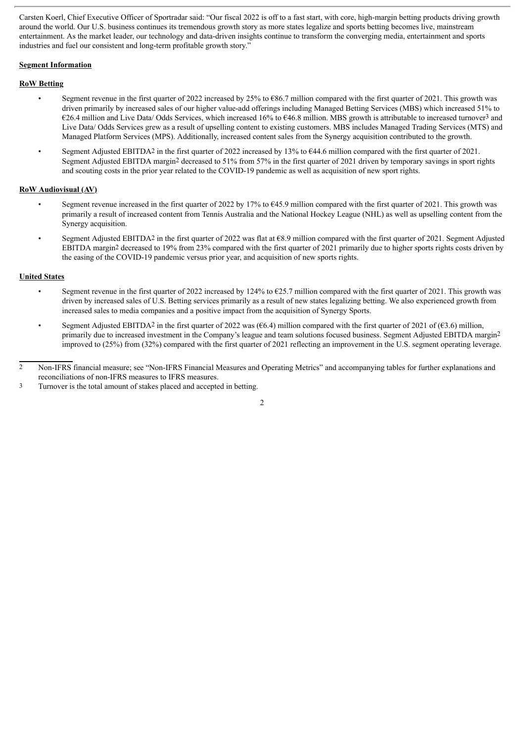Carsten Koerl, Chief Executive Officer of Sportradar said: "Our fiscal 2022 is off to a fast start, with core, high-margin betting products driving growth around the world. Our U.S. business continues its tremendous growth story as more states legalize and sports betting becomes live, mainstream entertainment. As the market leader, our technology and data-driven insights continue to transform the converging media, entertainment and sports industries and fuel our consistent and long-term profitable growth story."

#### **Segment Information**

#### **RoW Betting**

- Segment revenue in the first quarter of 2022 increased by 25% to €86.7 million compared with the first quarter of 2021. This growth was driven primarily by increased sales of our higher value-add offerings including Managed Betting Services (MBS) which increased 51% to €26.4 million and Live Data/ Odds Services, which increased 16% to €46.8 million. MBS growth is attributable to increased turnover<sup>3</sup> and Live Data/ Odds Services grew as a result of upselling content to existing customers. MBS includes Managed Trading Services (MTS) and Managed Platform Services (MPS). Additionally, increased content sales from the Synergy acquisition contributed to the growth.
- Segment Adjusted EBITDA2 in the first quarter of 2022 increased by 13% to €44.6 million compared with the first quarter of 2021. Segment Adjusted EBITDA margin2 decreased to 51% from 57% in the first quarter of 2021 driven by temporary savings in sport rights and scouting costs in the prior year related to the COVID-19 pandemic as well as acquisition of new sport rights.

#### **RoW Audiovisual (AV)**

- Segment revenue increased in the first quarter of 2022 by 17% to €45.9 million compared with the first quarter of 2021. This growth was primarily a result of increased content from Tennis Australia and the National Hockey League (NHL) as well as upselling content from the Synergy acquisition.
- Segment Adjusted EBITDA2 in the first quarter of 2022 was flat at €8.9 million compared with the first quarter of 2021. Segment Adjusted EBITDA margin<sup>2</sup> decreased to 19% from 23% compared with the first quarter of 2021 primarily due to higher sports rights costs driven by the easing of the COVID-19 pandemic versus prior year, and acquisition of new sports rights.

#### **United States**

- Segment revenue in the first quarter of 2022 increased by 124% to  $\epsilon$ 25.7 million compared with the first quarter of 2021. This growth was driven by increased sales of U.S. Betting services primarily as a result of new states legalizing betting. We also experienced growth from increased sales to media companies and a positive impact from the acquisition of Synergy Sports.
- Segment Adjusted EBITDA<sup>2</sup> in the first quarter of 2022 was ( $66.4$ ) million compared with the first quarter of 2021 of ( $63.6$ ) million, primarily due to increased investment in the Company's league and team solutions focused business. Segment Adjusted EBITDA margin2 improved to (25%) from (32%) compared with the first quarter of 2021 reflecting an improvement in the U.S. segment operating leverage.

<sup>3</sup> Turnover is the total amount of stakes placed and accepted in betting.



<sup>2</sup> Non-IFRS financial measure; see "Non-IFRS Financial Measures and Operating Metrics" and accompanying tables for further explanations and reconciliations of non-IFRS measures to IFRS measures.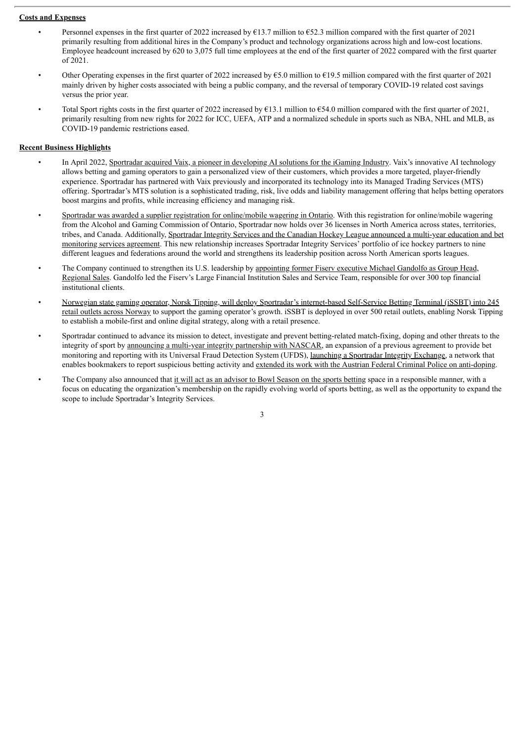#### **Costs and Expenses**

- Personnel expenses in the first quarter of 2022 increased by €13.7 million to €52.3 million compared with the first quarter of 2021 primarily resulting from additional hires in the Company's product and technology organizations across high and low-cost locations. Employee headcount increased by 620 to 3,075 full time employees at the end of the first quarter of 2022 compared with the first quarter of 2021.
- Other Operating expenses in the first quarter of 2022 increased by  $\epsilon$ 5.0 million to  $\epsilon$ 19.5 million compared with the first quarter of 2021 mainly driven by higher costs associated with being a public company, and the reversal of temporary COVID-19 related cost savings versus the prior year.
- Total Sport rights costs in the first quarter of 2022 increased by €13.1 million to €54.0 million compared with the first quarter of 2021, primarily resulting from new rights for 2022 for ICC, UEFA, ATP and a normalized schedule in sports such as NBA, NHL and MLB, as COVID-19 pandemic restrictions eased.

#### **Recent Business Highlights**

- In April 2022, Sportradar acquired Vaix, a pioneer in developing AI solutions for the iGaming Industry. Vaix's innovative AI technology allows betting and gaming operators to gain a personalized view of their customers, which provides a more targeted, player-friendly experience. Sportradar has partnered with Vaix previously and incorporated its technology into its Managed Trading Services (MTS) offering. Sportradar's MTS solution is a sophisticated trading, risk, live odds and liability management offering that helps betting operators boost margins and profits, while increasing efficiency and managing risk.
- Sportradar was awarded a supplier registration for online/mobile wagering in Ontario. With this registration for online/mobile wagering from the Alcohol and Gaming Commission of Ontario, Sportradar now holds over 36 licenses in North America across states, territories, tribes, and Canada. Additionally, Sportradar Integrity Services and the Canadian Hockey League announced a multi-year education and bet monitoring services agreement. This new relationship increases Sportradar Integrity Services' portfolio of ice hockey partners to nine different leagues and federations around the world and strengthens its leadership position across North American sports leagues.
- The Company continued to strengthen its U.S. leadership by appointing former Fiserv executive Michael Gandolfo as Group Head, Regional Sales. Gandolfo led the Fiserv's Large Financial Institution Sales and Service Team, responsible for over 300 top financial institutional clients.
- Norwegian state gaming operator, Norsk Tipping, will deploy Sportradar's internet-based Self-Service Betting Terminal (iSSBT) into 245 retail outlets across Norway to support the gaming operator's growth. iSSBT is deployed in over 500 retail outlets, enabling Norsk Tipping to establish a mobile-first and online digital strategy, along with a retail presence.
- Sportradar continued to advance its mission to detect, investigate and prevent betting-related match-fixing, doping and other threats to the integrity of sport by announcing a multi-year integrity partnership with NASCAR, an expansion of a previous agreement to provide bet monitoring and reporting with its Universal Fraud Detection System (UFDS), launching a Sportradar Integrity Exchange, a network that enables bookmakers to report suspicious betting activity and extended its work with the Austrian Federal Criminal Police on anti-doping.
- The Company also announced that it will act as an advisor to Bowl Season on the sports betting space in a responsible manner, with a focus on educating the organization's membership on the rapidly evolving world of sports betting, as well as the opportunity to expand the scope to include Sportradar's Integrity Services.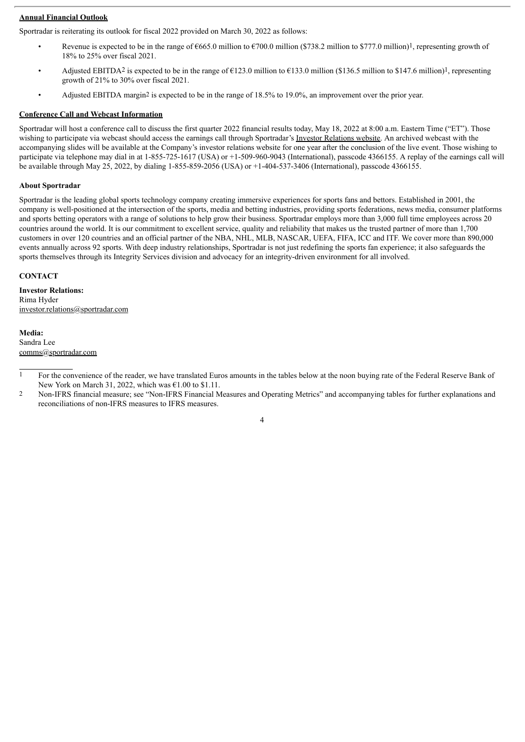#### **Annual Financial Outlook**

Sportradar is reiterating its outlook for fiscal 2022 provided on March 30, 2022 as follows:

- Revenue is expected to be in the range of  $\epsilon$ 665.0 million to  $\epsilon$ 700.0 million (\$738.2 million to \$777.0 million)<sup>1</sup>, representing growth of 18% to 25% over fiscal 2021.
- Adjusted EBITDA2 is expected to be in the range of  $\epsilon$ 123.0 million to  $\epsilon$ 133.0 million (\$136.5 million to \$147.6 million)<sup>1</sup>, representing growth of 21% to 30% over fiscal 2021.
- Adjusted EBITDA margin<sup>2</sup> is expected to be in the range of 18.5% to 19.0%, an improvement over the prior year.

# **Conference Call and Webcast Information**

Sportradar will host a conference call to discuss the first quarter 2022 financial results today, May 18, 2022 at 8:00 a.m. Eastern Time ("ET"). Those wishing to participate via webcast should access the earnings call through Sportradar's Investor Relations website. An archived webcast with the accompanying slides will be available at the Company's investor relations website for one year after the conclusion of the live event. Those wishing to participate via telephone may dial in at 1-855-725-1617 (USA) or +1-509-960-9043 (International), passcode 4366155. A replay of the earnings call will be available through May 25, 2022, by dialing 1-855-859-2056 (USA) or +1-404-537-3406 (International), passcode 4366155.

## **About Sportradar**

Sportradar is the leading global sports technology company creating immersive experiences for sports fans and bettors. Established in 2001, the company is well-positioned at the intersection of the sports, media and betting industries, providing sports federations, news media, consumer platforms and sports betting operators with a range of solutions to help grow their business. Sportradar employs more than 3,000 full time employees across 20 countries around the world. It is our commitment to excellent service, quality and reliability that makes us the trusted partner of more than 1,700 customers in over 120 countries and an official partner of the NBA, NHL, MLB, NASCAR, UEFA, FIFA, ICC and ITF. We cover more than 890,000 events annually across 92 sports. With deep industry relationships, Sportradar is not just redefining the sports fan experience; it also safeguards the sports themselves through its Integrity Services division and advocacy for an integrity-driven environment for all involved.

#### **CONTACT**

**Investor Relations:** Rima Hyder investor.relations@sportradar.com

**Media:** Sandra Lee comms@sportradar.com

<sup>2</sup> Non-IFRS financial measure; see "Non-IFRS Financial Measures and Operating Metrics" and accompanying tables for further explanations and reconciliations of non-IFRS measures to IFRS measures.



<sup>&</sup>lt;sup>1</sup> For the convenience of the reader, we have translated Euros amounts in the tables below at the noon buying rate of the Federal Reserve Bank of New York on March 31, 2022, which was  $\text{\e}1.00$  to \$1.11.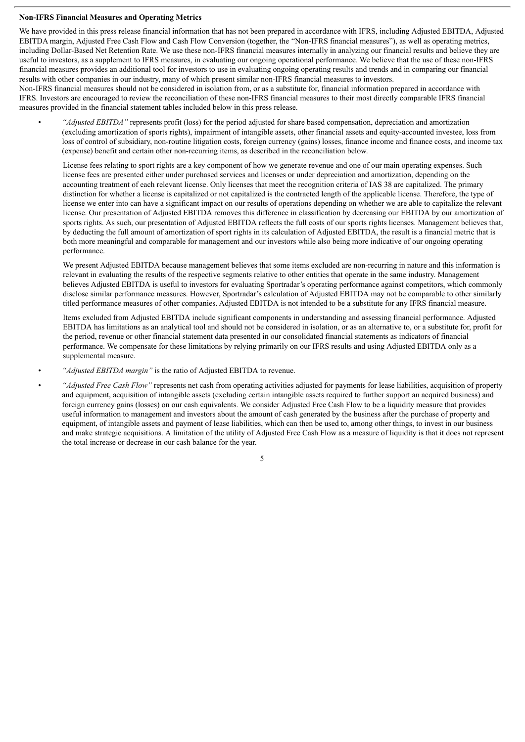#### **Non-IFRS Financial Measures and Operating Metrics**

We have provided in this press release financial information that has not been prepared in accordance with IFRS, including Adjusted EBITDA, Adjusted EBITDA margin, Adjusted Free Cash Flow and Cash Flow Conversion (together, the "Non-IFRS financial measures"), as well as operating metrics, including Dollar-Based Net Retention Rate. We use these non-IFRS financial measures internally in analyzing our financial results and believe they are useful to investors, as a supplement to IFRS measures, in evaluating our ongoing operational performance. We believe that the use of these non-IFRS financial measures provides an additional tool for investors to use in evaluating ongoing operating results and trends and in comparing our financial results with other companies in our industry, many of which present similar non-IFRS financial measures to investors.

Non-IFRS financial measures should not be considered in isolation from, or as a substitute for, financial information prepared in accordance with IFRS. Investors are encouraged to review the reconciliation of these non-IFRS financial measures to their most directly comparable IFRS financial measures provided in the financial statement tables included below in this press release.

• *"Adjusted EBITDA"* represents profit (loss) for the period adjusted for share based compensation, depreciation and amortization (excluding amortization of sports rights), impairment of intangible assets, other financial assets and equity-accounted investee, loss from loss of control of subsidiary, non-routine litigation costs, foreign currency (gains) losses, finance income and finance costs, and income tax (expense) benefit and certain other non-recurring items, as described in the reconciliation below.

License fees relating to sport rights are a key component of how we generate revenue and one of our main operating expenses. Such license fees are presented either under purchased services and licenses or under depreciation and amortization, depending on the accounting treatment of each relevant license. Only licenses that meet the recognition criteria of IAS 38 are capitalized. The primary distinction for whether a license is capitalized or not capitalized is the contracted length of the applicable license. Therefore, the type of license we enter into can have a significant impact on our results of operations depending on whether we are able to capitalize the relevant license. Our presentation of Adjusted EBITDA removes this difference in classification by decreasing our EBITDA by our amortization of sports rights. As such, our presentation of Adjusted EBITDA reflects the full costs of our sports rights licenses. Management believes that, by deducting the full amount of amortization of sport rights in its calculation of Adjusted EBITDA, the result is a financial metric that is both more meaningful and comparable for management and our investors while also being more indicative of our ongoing operating performance.

We present Adjusted EBITDA because management believes that some items excluded are non-recurring in nature and this information is relevant in evaluating the results of the respective segments relative to other entities that operate in the same industry. Management believes Adjusted EBITDA is useful to investors for evaluating Sportradar's operating performance against competitors, which commonly disclose similar performance measures. However, Sportradar's calculation of Adjusted EBITDA may not be comparable to other similarly titled performance measures of other companies. Adjusted EBITDA is not intended to be a substitute for any IFRS financial measure.

Items excluded from Adjusted EBITDA include significant components in understanding and assessing financial performance. Adjusted EBITDA has limitations as an analytical tool and should not be considered in isolation, or as an alternative to, or a substitute for, profit for the period, revenue or other financial statement data presented in our consolidated financial statements as indicators of financial performance. We compensate for these limitations by relying primarily on our IFRS results and using Adjusted EBITDA only as a supplemental measure.

• *"Adjusted EBITDA margin"* is the ratio of Adjusted EBITDA to revenue.

• *"Adjusted Free Cash Flow"* represents net cash from operating activities adjusted for payments for lease liabilities, acquisition of property and equipment, acquisition of intangible assets (excluding certain intangible assets required to further support an acquired business) and foreign currency gains (losses) on our cash equivalents. We consider Adjusted Free Cash Flow to be a liquidity measure that provides useful information to management and investors about the amount of cash generated by the business after the purchase of property and equipment, of intangible assets and payment of lease liabilities, which can then be used to, among other things, to invest in our business and make strategic acquisitions. A limitation of the utility of Adjusted Free Cash Flow as a measure of liquidity is that it does not represent the total increase or decrease in our cash balance for the year.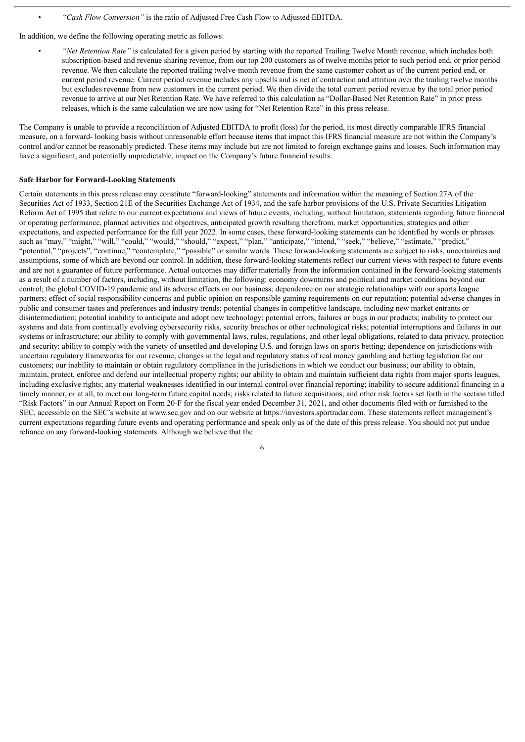• *"Cash Flow Conversion"* is the ratio of Adjusted Free Cash Flow to Adjusted EBITDA.

In addition, we define the following operating metric as follows:

• *"Net Retention Rate"* is calculated for a given period by starting with the reported Trailing Twelve Month revenue, which includes both subscription-based and revenue sharing revenue, from our top 200 customers as of twelve months prior to such period end, or prior period revenue. We then calculate the reported trailing twelve-month revenue from the same customer cohort as of the current period end, or current period revenue. Current period revenue includes any upsells and is net of contraction and attrition over the trailing twelve months but excludes revenue from new customers in the current period. We then divide the total current period revenue by the total prior period revenue to arrive at our Net Retention Rate. We have referred to this calculation as "Dollar-Based Net Retention Rate" in prior press releases, which is the same calculation we are now using for "Net Retention Rate" in this press release.

The Company is unable to provide a reconciliation of Adjusted EBITDA to profit (loss) for the period, its most directly comparable IFRS financial measure, on a forward- looking basis without unreasonable effort because items that impact this IFRS financial measure are not within the Company's control and/or cannot be reasonably predicted. These items may include but are not limited to foreign exchange gains and losses. Such information may have a significant, and potentially unpredictable, impact on the Company's future financial results.

#### **Safe Harbor for Forward-Looking Statements**

Certain statements in this press release may constitute "forward-looking" statements and information within the meaning of Section 27A of the Securities Act of 1933, Section 21E of the Securities Exchange Act of 1934, and the safe harbor provisions of the U.S. Private Securities Litigation Reform Act of 1995 that relate to our current expectations and views of future events, including, without limitation, statements regarding future financial or operating performance, planned activities and objectives, anticipated growth resulting therefrom, market opportunities, strategies and other expectations, and expected performance for the full year 2022. In some cases, these forward-looking statements can be identified by words or phrases such as "may," "might," "will," "could," "would," "should," "expect," "plan," "anticipate," "intend," "seek," "believe," "estimate," "predict," "potential," "projects", "continue," "contemplate," "possible" or similar words. These forward-looking statements are subject to risks, uncertainties and assumptions, some of which are beyond our control. In addition, these forward-looking statements reflect our current views with respect to future events and are not a guarantee of future performance. Actual outcomes may differ materially from the information contained in the forward-looking statements as a result of a number of factors, including, without limitation, the following: economy downturns and political and market conditions beyond our control; the global COVID-19 pandemic and its adverse effects on our business; dependence on our strategic relationships with our sports league partners; effect of social responsibility concerns and public opinion on responsible gaming requirements on our reputation; potential adverse changes in public and consumer tastes and preferences and industry trends; potential changes in competitive landscape, including new market entrants or disintermediation; potential inability to anticipate and adopt new technology; potential errors, failures or bugs in our products; inability to protect our systems and data from continually evolving cybersecurity risks, security breaches or other technological risks; potential interruptions and failures in our systems or infrastructure; our ability to comply with governmental laws, rules, regulations, and other legal obligations, related to data privacy, protection and security; ability to comply with the variety of unsettled and developing U.S. and foreign laws on sports betting; dependence on jurisdictions with uncertain regulatory frameworks for our revenue; changes in the legal and regulatory status of real money gambling and betting legislation for our customers; our inability to maintain or obtain regulatory compliance in the jurisdictions in which we conduct our business; our ability to obtain, maintain, protect, enforce and defend our intellectual property rights; our ability to obtain and maintain sufficient data rights from major sports leagues, including exclusive rights; any material weaknesses identified in our internal control over financial reporting; inability to secure additional financing in a timely manner, or at all, to meet our long-term future capital needs; risks related to future acquisitions; and other risk factors set forth in the section titled "Risk Factors" in our Annual Report on Form 20-F for the fiscal year ended December 31, 2021, and other documents filed with or furnished to the SEC, accessible on the SEC's website at www.sec.gov and on our website at https://investors.sportradar.com. These statements reflect management's current expectations regarding future events and operating performance and speak only as of the date of this press release. You should not put undue reliance on any forward-looking statements. Although we believe that the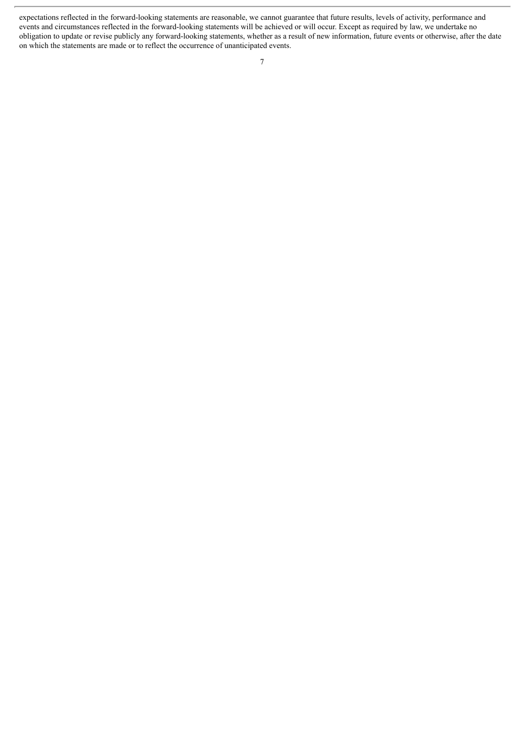expectations reflected in the forward-looking statements are reasonable, we cannot guarantee that future results, levels of activity, performance and events and circumstances reflected in the forward-looking statements will be achieved or will occur. Except as required by law, we undertake no obligation to update or revise publicly any forward-looking statements, whether as a result of new information, future events or otherwise, after the date on which the statements are made or to reflect the occurrence of unanticipated events.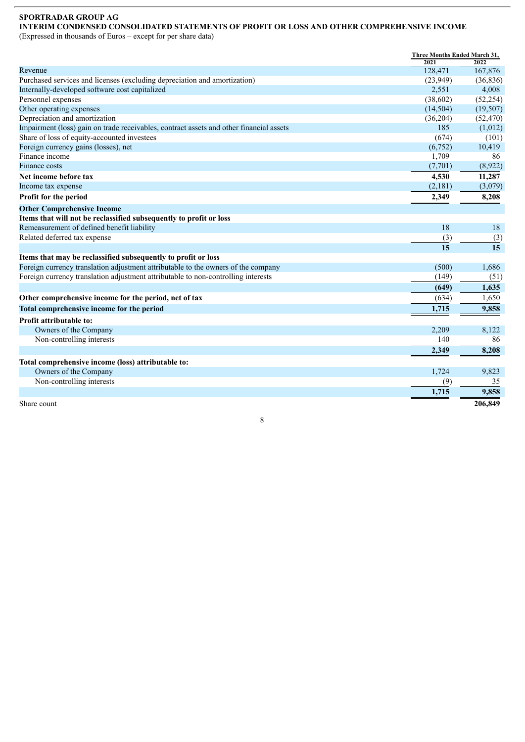# **SPORTRADAR GROUP AG**

# **INTERIM CONDENSED CONSOLIDATED STATEMENTS OF PROFIT OR LOSS AND OTHER COMPREHENSIVE INCOME**

(Expressed in thousands of Euros – except for per share data)

|                                                                                         | Three Months Ended March 31,<br>2022<br>2021 |           |
|-----------------------------------------------------------------------------------------|----------------------------------------------|-----------|
| Revenue                                                                                 | 128,471                                      | 167,876   |
| Purchased services and licenses (excluding depreciation and amortization)               | (23,949)                                     | (36, 836) |
| Internally-developed software cost capitalized                                          | 2,551                                        | 4,008     |
| Personnel expenses                                                                      | (38,602)                                     | (52, 254) |
| Other operating expenses                                                                | (14, 504)                                    | (19, 507) |
| Depreciation and amortization                                                           | (36,204)                                     | (52, 470) |
| Impairment (loss) gain on trade receivables, contract assets and other financial assets | 185                                          | (1,012)   |
| Share of loss of equity-accounted investees                                             | (674)                                        | (101)     |
| Foreign currency gains (losses), net                                                    | (6,752)                                      | 10,419    |
| Finance income                                                                          | 1,709                                        | 86        |
| <b>Finance costs</b>                                                                    | (7,701)                                      | (8,922)   |
| Net income before tax                                                                   | 4,530                                        | 11,287    |
| Income tax expense                                                                      | (2,181)                                      | (3,079)   |
| Profit for the period                                                                   | 2,349                                        | 8,208     |
| <b>Other Comprehensive Income</b>                                                       |                                              |           |
| Items that will not be reclassified subsequently to profit or loss                      |                                              |           |
| Remeasurement of defined benefit liability                                              | 18                                           | 18        |
| Related deferred tax expense                                                            | (3)                                          | (3)       |
|                                                                                         | 15                                           | 15        |
| Items that may be reclassified subsequently to profit or loss                           |                                              |           |
| Foreign currency translation adjustment attributable to the owners of the company       | (500)                                        | 1,686     |
| Foreign currency translation adjustment attributable to non-controlling interests       | (149)                                        | (51)      |
|                                                                                         | (649)                                        | 1,635     |
| Other comprehensive income for the period, net of tax                                   | (634)                                        | 1,650     |
| Total comprehensive income for the period                                               | 1,715                                        | 9,858     |
| Profit attributable to:                                                                 |                                              |           |
| Owners of the Company                                                                   | 2,209                                        | 8,122     |
| Non-controlling interests                                                               | 140                                          | 86        |
|                                                                                         | 2,349                                        | 8,208     |
| Total comprehensive income (loss) attributable to:                                      |                                              |           |
| Owners of the Company                                                                   | 1,724                                        | 9,823     |
| Non-controlling interests                                                               | (9)                                          | 35        |
|                                                                                         | 1,715                                        | 9,858     |
| Share count                                                                             |                                              | 206,849   |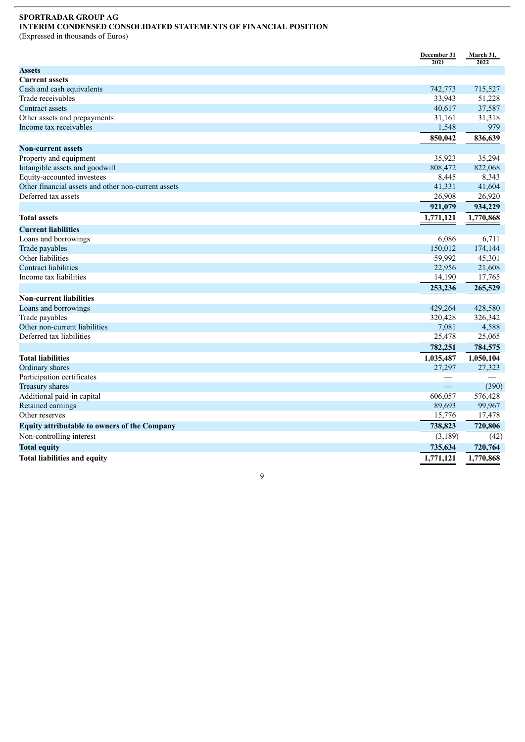#### **SPORTRADAR GROUP AG INTERIM CONDENSED CONSOLIDATED STATEMENTS OF FINANCIAL POSITION**

(Expressed in thousands of Euros)

|                                                     | December 31<br>2021 | March 31,<br>2022 |
|-----------------------------------------------------|---------------------|-------------------|
| <b>Assets</b>                                       |                     |                   |
| <b>Current assets</b>                               |                     |                   |
| Cash and cash equivalents                           | 742,773             | 715,527           |
| Trade receivables                                   | 33,943              | 51,228            |
| Contract assets                                     | 40,617              | 37,587            |
| Other assets and prepayments                        | 31,161              | 31,318            |
| Income tax receivables                              | 1,548               | 979               |
|                                                     | 850,042             | 836,639           |
| <b>Non-current assets</b>                           |                     |                   |
| Property and equipment                              | 35,923              | 35,294            |
| Intangible assets and goodwill                      | 808,472             | 822,068           |
| Equity-accounted investees                          | 8,445               | 8,343             |
| Other financial assets and other non-current assets | 41,331              | 41,604            |
| Deferred tax assets                                 | 26,908              | 26,920            |
|                                                     | 921,079             | 934,229           |
| <b>Total assets</b>                                 | 1,771,121           | 1,770,868         |
| <b>Current liabilities</b>                          |                     |                   |
| Loans and borrowings                                | 6,086               | 6,711             |
| Trade payables                                      | 150,012             | 174,144           |
| Other liabilities                                   | 59,992              | 45,301            |
| Contract liabilities                                | 22,956              | 21,608            |
| Income tax liabilities                              | 14,190              | 17,765            |
|                                                     | 253,236             | 265,529           |
| <b>Non-current liabilities</b>                      |                     |                   |
| Loans and borrowings                                | 429,264             | 428,580           |
| Trade payables                                      | 320,428             | 326,342           |
| Other non-current liabilities                       | 7,081               | 4,588             |
| Deferred tax liabilities                            | 25,478              | 25,065            |
|                                                     | 782,251             | 784,575           |
| <b>Total liabilities</b>                            | 1,035,487           | 1,050,104         |
| Ordinary shares                                     | 27,297              | 27,323            |
| Participation certificates                          |                     |                   |
| Treasury shares                                     | <u>—</u>            | (390)             |
| Additional paid-in capital                          | 606,057             | 576,428           |
| Retained earnings                                   | 89,693              | 99,967            |
| Other reserves                                      | 15,776              | 17,478            |
| <b>Equity attributable to owners of the Company</b> | 738,823             | 720,806           |
| Non-controlling interest                            | (3,189)             | (42)              |
| <b>Total equity</b>                                 | 735,634             | 720,764           |
| <b>Total liabilities and equity</b>                 | 1,771,121           | 1,770,868         |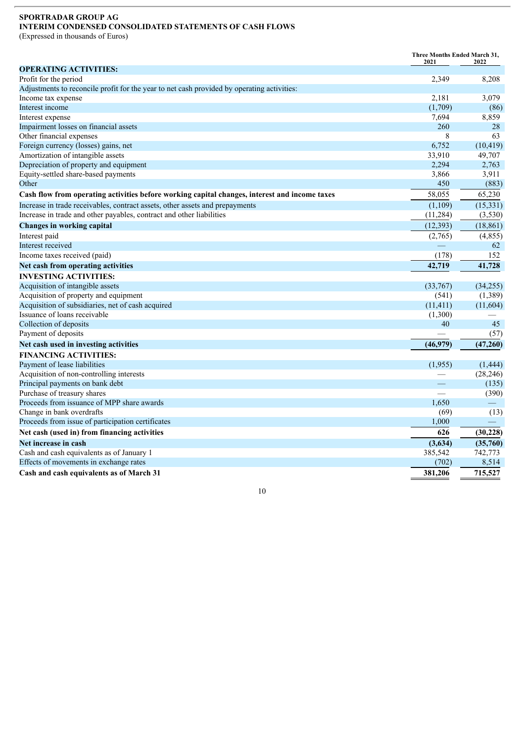#### **SPORTRADAR GROUP AG INTERIM CONDENSED CONSOLIDATED STATEMENTS OF CASH FLOWS**

(Expressed in thousands of Euros)

|                                                                                               | <b>Three Months Ended March 31.</b><br>2021 | 2022      |
|-----------------------------------------------------------------------------------------------|---------------------------------------------|-----------|
| <b>OPERATING ACTIVITIES:</b>                                                                  |                                             |           |
| Profit for the period                                                                         | 2,349                                       | 8,208     |
| Adjustments to reconcile profit for the year to net cash provided by operating activities:    |                                             |           |
| Income tax expense                                                                            | 2,181                                       | 3,079     |
| Interest income                                                                               | (1,709)                                     | (86)      |
| Interest expense                                                                              | 7,694                                       | 8,859     |
| Impairment losses on financial assets                                                         | 260                                         | 28        |
| Other financial expenses                                                                      | 8                                           | 63        |
| Foreign currency (losses) gains, net                                                          | 6,752                                       | (10, 419) |
| Amortization of intangible assets                                                             | 33,910                                      | 49,707    |
| Depreciation of property and equipment                                                        | 2,294                                       | 2,763     |
| Equity-settled share-based payments                                                           | 3,866                                       | 3,911     |
| Other                                                                                         | 450                                         | (883)     |
| Cash flow from operating activities before working capital changes, interest and income taxes | 58,055                                      | 65,230    |
| Increase in trade receivables, contract assets, other assets and prepayments                  | (1,109)                                     | (15, 331) |
| Increase in trade and other payables, contract and other liabilities                          | (11, 284)                                   | (3,530)   |
| <b>Changes in working capital</b>                                                             | (12, 393)                                   | (18, 861) |
| Interest paid                                                                                 | (2,765)                                     | (4, 855)  |
| Interest received                                                                             |                                             | 62        |
| Income taxes received (paid)                                                                  | (178)                                       | 152       |
| Net cash from operating activities                                                            | 42,719                                      | 41,728    |
| <b>INVESTING ACTIVITIES:</b>                                                                  |                                             |           |
| Acquisition of intangible assets                                                              | (33,767)                                    | (34,255)  |
| Acquisition of property and equipment                                                         | (541)                                       | (1,389)   |
| Acquisition of subsidiaries, net of cash acquired                                             | (11, 411)                                   | (11,604)  |
| Issuance of loans receivable                                                                  | (1,300)                                     |           |
| Collection of deposits                                                                        | 40                                          | 45        |
| Payment of deposits                                                                           |                                             | (57)      |
| Net cash used in investing activities                                                         | (46,979)                                    | (47,260)  |
| <b>FINANCING ACTIVITIES:</b>                                                                  |                                             |           |
| Payment of lease liabilities                                                                  | (1,955)                                     | (1, 444)  |
| Acquisition of non-controlling interests                                                      |                                             | (28, 246) |
| Principal payments on bank debt                                                               | $\overline{\phantom{0}}$                    | (135)     |
| Purchase of treasury shares                                                                   |                                             | (390)     |
| Proceeds from issuance of MPP share awards                                                    | 1,650                                       |           |
| Change in bank overdrafts                                                                     | (69)                                        | (13)      |
| Proceeds from issue of participation certificates                                             | 1,000                                       |           |
| Net cash (used in) from financing activities                                                  | 626                                         | (30, 228) |
| Net increase in cash                                                                          | (3,634)                                     | (35,760)  |
| Cash and cash equivalents as of January 1                                                     | 385,542                                     | 742,773   |
| Effects of movements in exchange rates                                                        | (702)                                       | 8,514     |
| Cash and cash equivalents as of March 31                                                      | 381,206                                     | 715,527   |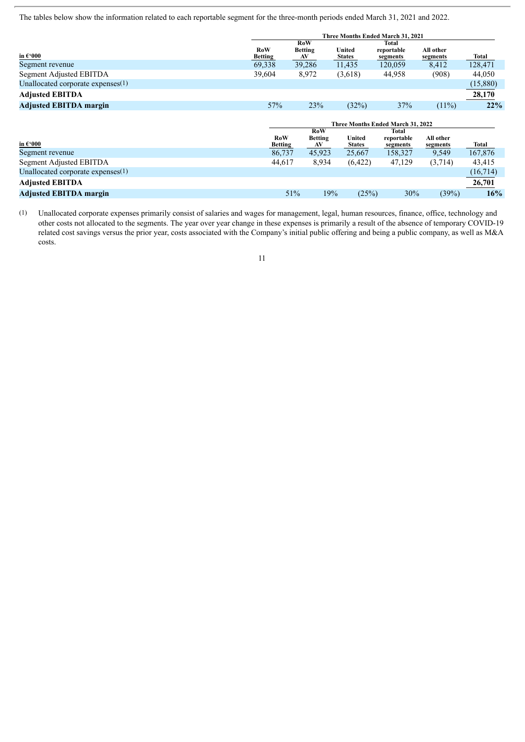The tables below show the information related to each reportable segment for the three-month periods ended March 31, 2021 and 2022.

|                                      | Three Months Ended March 31, 2021 |                                    |                         |                                 |                       |          |
|--------------------------------------|-----------------------------------|------------------------------------|-------------------------|---------------------------------|-----------------------|----------|
| in $\epsilon$ 000                    | RoW<br><b>Betting</b>             | <b>RoW</b><br><b>Betting</b><br>AV | United<br><b>States</b> | Total<br>reportable<br>segments | All other<br>segments | Total    |
| Segment revenue                      | 69,338                            | 39,286                             | 11,435                  | 120,059                         | 8,412                 | 128,471  |
| Segment Adjusted EBITDA              | 39,604                            | 8,972                              | (3,618)                 | 44,958                          | (908)                 | 44,050   |
| Unallocated corporate expenses $(1)$ |                                   |                                    |                         |                                 |                       | (15,880) |
| <b>Adjusted EBITDA</b>               |                                   |                                    |                         |                                 |                       | 28,170   |
| <b>Adjusted EBITDA margin</b>        | 57%                               | 23%                                | (32%)                   | 37%                             | $(11\%)$              | 22%      |
|                                      | Three Months Ended March 31, 2022 |                                    |                         |                                 |                       |          |
| in $\epsilon$ 000                    | RoW<br><b>Betting</b>             | RoW<br><b>Betting</b><br>AV        | United<br><b>States</b> | Total<br>reportable<br>segments | All other<br>segments | Total    |
| Segment revenue                      | 86,737                            | 45,923                             | 25,667                  | 158,327                         | 9,549                 | 167,876  |
| Segment Adjusted EBITDA              | 44,617                            | 8,934                              | (6,422)                 | 47,129                          | (3,714)               | 43,415   |
| Unallocated corporate expenses(1)    |                                   |                                    |                         |                                 |                       | (16,714) |
| <b>Adjusted EBITDA</b>               |                                   |                                    |                         |                                 |                       | 26,701   |
| <b>Adjusted EBITDA margin</b>        |                                   | 51%                                | 19%<br>(25%)            | 30%                             | (39%)                 | 16%      |

(1) Unallocated corporate expenses primarily consist of salaries and wages for management, legal, human resources, finance, office, technology and other costs not allocated to the segments. The year over year change in these expenses is primarily a result of the absence of temporary COVID-19 related cost savings versus the prior year, costs associated with the Company's initial public offering and being a public company, as well as M&A costs.